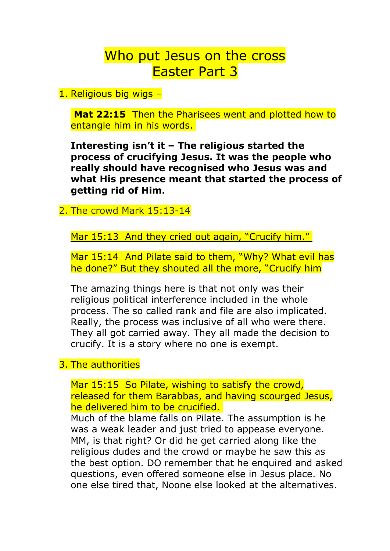## Who put Jesus on the cross Easter Part 3

1. Religious big wigs –

**Mat 22:15** Then the Pharisees went and plotted how to entangle him in his words.

**Interesting isn't it – The religious started the process of crucifying Jesus. It was the people who really should have recognised who Jesus was and what His presence meant that started the process of getting rid of Him.** 

## 2. The crowd Mark 15:13-14

Mar 15:13 And they cried out again, "Crucify him."

Mar 15:14 And Pilate said to them, "Why? What evil has he done?" But they shouted all the more, "Crucify him

The amazing things here is that not only was their religious political interference included in the whole process. The so called rank and file are also implicated. Really, the process was inclusive of all who were there. They all got carried away. They all made the decision to crucify. It is a story where no one is exempt.

## 3. The authorities

Mar 15:15 So Pilate, wishing to satisfy the crowd, released for them Barabbas, and having scourged Jesus, he delivered him to be crucified.

Much of the blame falls on Pilate. The assumption is he was a weak leader and just tried to appease everyone. MM, is that right? Or did he get carried along like the religious dudes and the crowd or maybe he saw this as the best option. DO remember that he enquired and asked questions, even offered someone else in Jesus place. No one else tired that, Noone else looked at the alternatives.